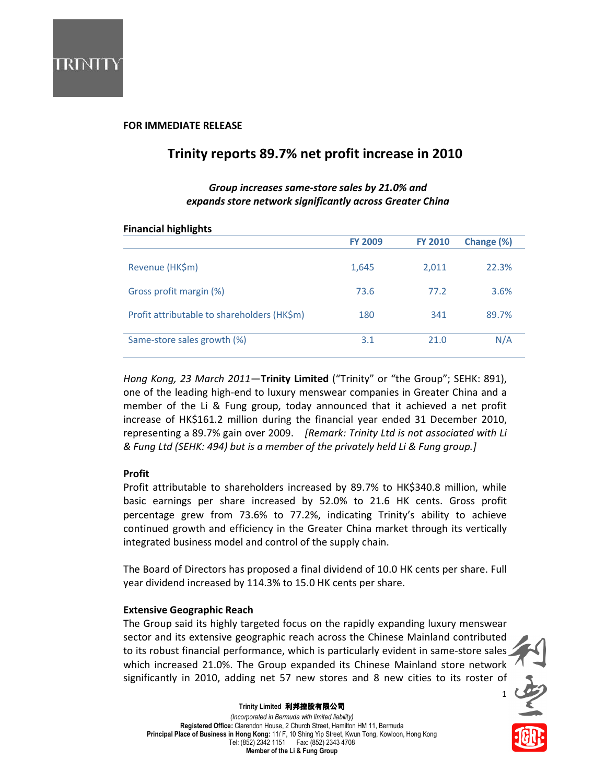

## FOR IMMEDIATE RELEASE

# Trinity reports 89.7% net profit increase in 2010

# Group increases same-store sales by 21.0% and expands store network significantly across Greater China

### Financial highlights

| . .                                         |                |                |            |  |
|---------------------------------------------|----------------|----------------|------------|--|
|                                             | <b>FY 2009</b> | <b>FY 2010</b> | Change (%) |  |
|                                             |                |                |            |  |
| Revenue (HK\$m)                             | 1,645          | 2,011          | 22.3%      |  |
|                                             |                |                |            |  |
| Gross profit margin (%)                     | 73.6           | 77.2           | 3.6%       |  |
|                                             |                |                |            |  |
| Profit attributable to shareholders (HK\$m) | 180            | 341            | 89.7%      |  |
|                                             |                |                |            |  |
| Same-store sales growth (%)                 | 3.1            | 21.0           | N/A        |  |
|                                             |                |                |            |  |

Hong Kong, 23 March 2011-Trinity Limited ("Trinity" or "the Group"; SEHK: 891), one of the leading high-end to luxury menswear companies in Greater China and a member of the Li & Fung group, today announced that it achieved a net profit increase of HK\$161.2 million during the financial year ended 31 December 2010, representing a 89.7% gain over 2009. [Remark: Trinity Ltd is not associated with Li & Fung Ltd (SEHK: 494) but is a member of the privately held Li & Fung group.]

## Profit

Profit attributable to shareholders increased by 89.7% to HK\$340.8 million, while basic earnings per share increased by 52.0% to 21.6 HK cents. Gross profit percentage grew from 73.6% to 77.2%, indicating Trinity's ability to achieve continued growth and efficiency in the Greater China market through its vertically integrated business model and control of the supply chain.

The Board of Directors has proposed a final dividend of 10.0 HK cents per share. Full year dividend increased by 114.3% to 15.0 HK cents per share.

### Extensive Geographic Reach

The Group said its highly targeted focus on the rapidly expanding luxury menswear sector and its extensive geographic reach across the Chinese Mainland contributed to its robust financial performance, which is particularly evident in same-store sales which increased 21.0%. The Group expanded its Chinese Mainland store network significantly in 2010, adding net 57 new stores and 8 new cities to its roster of

1

安全



(Incorporated in Bermuda with limited liability) Registered Office: Clarendon House, 2 Church Street, Hamilton HM 11, Bermuda Principal Place of Business in Hong Kong: 11/ F, 10 Shing Yip Street, Kwun Tong, Kowloon, Hong Kong Tel: (852) 2342 1151 Fax: (852) 2343 4708 Member of the Li & Fung Group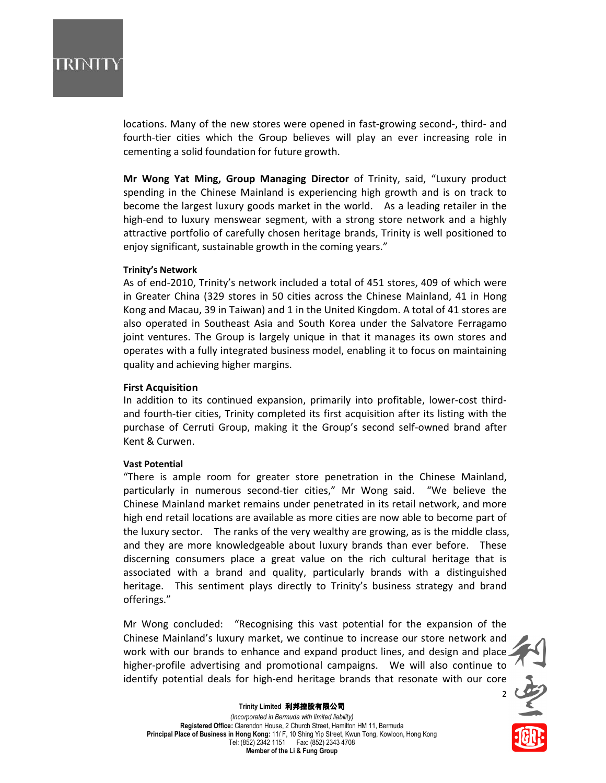# IRINTI

locations. Many of the new stores were opened in fast-growing second-, third- and fourth-tier cities which the Group believes will play an ever increasing role in cementing a solid foundation for future growth.

Mr Wong Yat Ming, Group Managing Director of Trinity, said, "Luxury product spending in the Chinese Mainland is experiencing high growth and is on track to become the largest luxury goods market in the world. As a leading retailer in the high-end to luxury menswear segment, with a strong store network and a highly attractive portfolio of carefully chosen heritage brands, Trinity is well positioned to enjoy significant, sustainable growth in the coming years."

### Trinity's Network

As of end-2010, Trinity's network included a total of 451 stores, 409 of which were in Greater China (329 stores in 50 cities across the Chinese Mainland, 41 in Hong Kong and Macau, 39 in Taiwan) and 1 in the United Kingdom. A total of 41 stores are also operated in Southeast Asia and South Korea under the Salvatore Ferragamo joint ventures. The Group is largely unique in that it manages its own stores and operates with a fully integrated business model, enabling it to focus on maintaining quality and achieving higher margins.

### First Acquisition

In addition to its continued expansion, primarily into profitable, lower-cost thirdand fourth-tier cities, Trinity completed its first acquisition after its listing with the purchase of Cerruti Group, making it the Group's second self-owned brand after Kent & Curwen.

### Vast Potential

"There is ample room for greater store penetration in the Chinese Mainland, particularly in numerous second-tier cities," Mr Wong said. "We believe the Chinese Mainland market remains under penetrated in its retail network, and more high end retail locations are available as more cities are now able to become part of the luxury sector. The ranks of the very wealthy are growing, as is the middle class, and they are more knowledgeable about luxury brands than ever before. These discerning consumers place a great value on the rich cultural heritage that is associated with a brand and quality, particularly brands with a distinguished heritage. This sentiment plays directly to Trinity's business strategy and brand offerings."

Mr Wong concluded: "Recognising this vast potential for the expansion of the Chinese Mainland's luxury market, we continue to increase our store network and work with our brands to enhance and expand product lines, and design and place higher-profile advertising and promotional campaigns. We will also continue to identify potential deals for high-end heritage brands that resonate with our core



#### Trinity Limited 利邦控股有限公司

(Incorporated in Bermuda with limited liability) Registered Office: Clarendon House, 2 Church Street, Hamilton HM 11, Bermuda Principal Place of Business in Hong Kong: 11/ F, 10 Shing Yip Street, Kwun Tong, Kowloon, Hong Kong Tel: (852) 2342 1151 Fax: (852) 2343 4708 Member of the Li & Fung Group